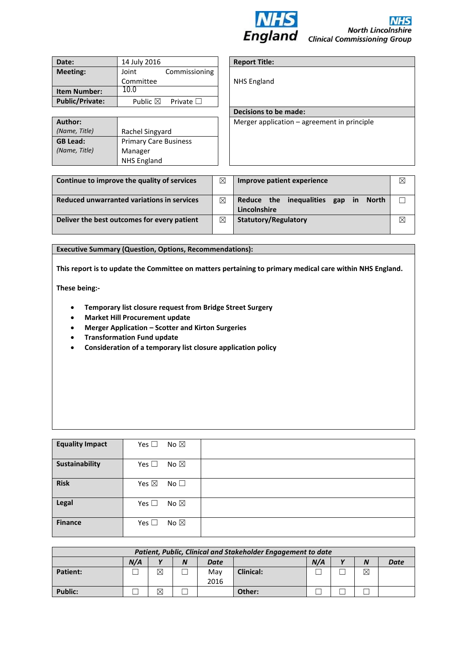

| Date:                  | 14 July 2016       |                   |  |
|------------------------|--------------------|-------------------|--|
| Meeting:               | Joint              | Commissioning     |  |
|                        | Committee          |                   |  |
| <b>Item Number:</b>    | 10.0               |                   |  |
| <b>Public/Private:</b> | Public $\boxtimes$ | Private $\square$ |  |

| Author:         |                              |
|-----------------|------------------------------|
| (Name, Title)   | Rachel Singyard              |
| <b>GB Lead:</b> | <b>Primary Care Business</b> |
| (Name, Title)   | Manager                      |
|                 | <b>NHS England</b>           |

# **Report Title:**

NHS England

**Decisions to be made:** 

Merger application – agreement in principle

| Continue to improve the quality of services | ⊠           | Improve patient experience                                           |             |
|---------------------------------------------|-------------|----------------------------------------------------------------------|-------------|
| Reduced unwarranted variations in services  | ⊠           | inequalities gap<br>Reduce the<br>in<br><b>North</b><br>Lincolnshire |             |
| Deliver the best outcomes for every patient | $\boxtimes$ | <b>Statutory/Regulatory</b>                                          | $\boxtimes$ |

#### **Executive Summary (Question, Options, Recommendations):**

**This report is to update the Committee on matters pertaining to primary medical care within NHS England.**

**These being:-**

- **Temporary list closure request from Bridge Street Surgery**
- **Market Hill Procurement update**
- **Merger Application – Scotter and Kirton Surgeries**
- **Transformation Fund update**
- **Consideration of a temporary list closure application policy**

| <b>Equality Impact</b> | Yes $\square$<br>No $\boxtimes$ |  |
|------------------------|---------------------------------|--|
| Sustainability         | Yes $\square$<br>No $\boxtimes$ |  |
| <b>Risk</b>            | Yes $\boxtimes$<br>No $\square$ |  |
| Legal                  | Yes $\square$<br>No $\boxtimes$ |  |
| <b>Finance</b>         | Yes $\square$<br>No $\boxtimes$ |  |

| Patient, Public, Clinical and Stakeholder Engagement to date                        |  |   |  |             |                  |  |  |             |  |
|-------------------------------------------------------------------------------------|--|---|--|-------------|------------------|--|--|-------------|--|
| N/A<br>N/A<br>$\mathbf{v}$<br>$\mathbf{v}$<br>N<br>$\boldsymbol{N}$<br>Date<br>Date |  |   |  |             |                  |  |  |             |  |
| <b>Patient:</b>                                                                     |  | ⊠ |  | Mav<br>2016 | <b>Clinical:</b> |  |  | $\boxtimes$ |  |
| <b>Public:</b>                                                                      |  | ⊠ |  |             | Other:           |  |  |             |  |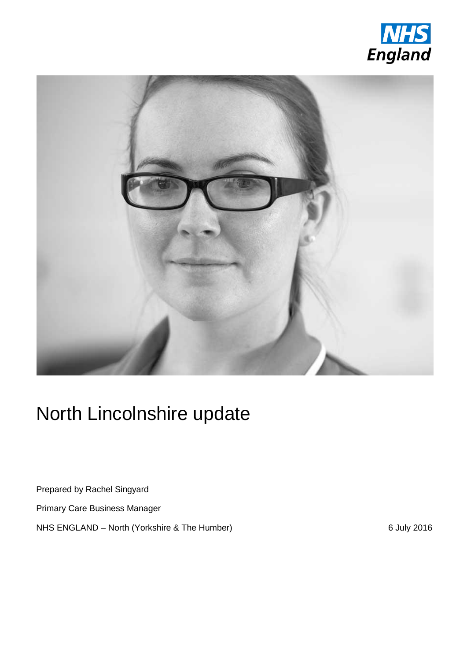



# North Lincolnshire update

Prepared by Rachel Singyard

Primary Care Business Manager

NHS ENGLAND – North (Yorkshire & The Humber) 6 July 2016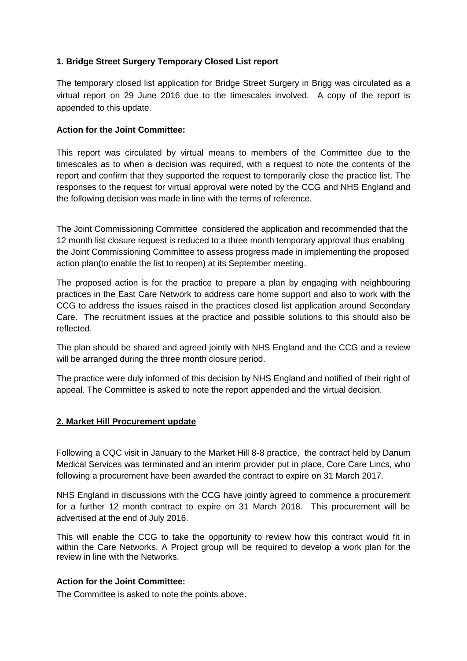# **1. Bridge Street Surgery Temporary Closed List report**

The temporary closed list application for Bridge Street Surgery in Brigg was circulated as a virtual report on 29 June 2016 due to the timescales involved. A copy of the report is appended to this update.

# **Action for the Joint Committee:**

This report was circulated by virtual means to members of the Committee due to the timescales as to when a decision was required, with a request to note the contents of the report and confirm that they supported the request to temporarily close the practice list. The responses to the request for virtual approval were noted by the CCG and NHS England and the following decision was made in line with the terms of reference.

The Joint Commissioning Committee considered the application and recommended that the 12 month list closure request is reduced to a three month temporary approval thus enabling the Joint Commissioning Committee to assess progress made in implementing the proposed action plan(to enable the list to reopen) at its September meeting.

The proposed action is for the practice to prepare a plan by engaging with neighbouring practices in the East Care Network to address care home support and also to work with the CCG to address the issues raised in the practices closed list application around Secondary Care. The recruitment issues at the practice and possible solutions to this should also be reflected.

The plan should be shared and agreed jointly with NHS England and the CCG and a review will be arranged during the three month closure period.

The practice were duly informed of this decision by NHS England and notified of their right of appeal. The Committee is asked to note the report appended and the virtual decision.

## **2. Market Hill Procurement update**

Following a CQC visit in January to the Market Hill 8-8 practice, the contract held by Danum Medical Services was terminated and an interim provider put in place, Core Care Lincs, who following a procurement have been awarded the contract to expire on 31 March 2017.

NHS England in discussions with the CCG have jointly agreed to commence a procurement for a further 12 month contract to expire on 31 March 2018. This procurement will be advertised at the end of July 2016.

This will enable the CCG to take the opportunity to review how this contract would fit in within the Care Networks. A Project group will be required to develop a work plan for the review in line with the Networks.

## **Action for the Joint Committee:**

The Committee is asked to note the points above.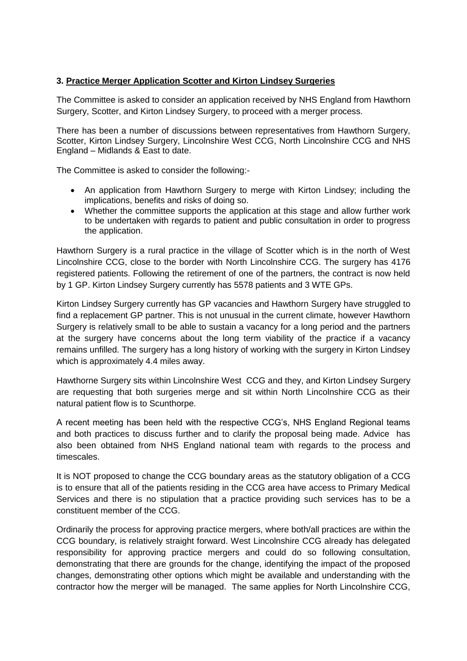# **3. Practice Merger Application Scotter and Kirton Lindsey Surgeries**

The Committee is asked to consider an application received by NHS England from Hawthorn Surgery, Scotter, and Kirton Lindsey Surgery, to proceed with a merger process.

There has been a number of discussions between representatives from Hawthorn Surgery, Scotter, Kirton Lindsey Surgery, Lincolnshire West CCG, North Lincolnshire CCG and NHS England – Midlands & East to date.

The Committee is asked to consider the following:-

- An application from Hawthorn Surgery to merge with Kirton Lindsey; including the implications, benefits and risks of doing so.
- Whether the committee supports the application at this stage and allow further work to be undertaken with regards to patient and public consultation in order to progress the application.

Hawthorn Surgery is a rural practice in the village of Scotter which is in the north of West Lincolnshire CCG, close to the border with North Lincolnshire CCG. The surgery has 4176 registered patients. Following the retirement of one of the partners, the contract is now held by 1 GP. Kirton Lindsey Surgery currently has 5578 patients and 3 WTE GPs.

Kirton Lindsey Surgery currently has GP vacancies and Hawthorn Surgery have struggled to find a replacement GP partner. This is not unusual in the current climate, however Hawthorn Surgery is relatively small to be able to sustain a vacancy for a long period and the partners at the surgery have concerns about the long term viability of the practice if a vacancy remains unfilled. The surgery has a long history of working with the surgery in Kirton Lindsey which is approximately 4.4 miles away.

Hawthorne Surgery sits within Lincolnshire West CCG and they, and Kirton Lindsey Surgery are requesting that both surgeries merge and sit within North Lincolnshire CCG as their natural patient flow is to Scunthorpe.

A recent meeting has been held with the respective CCG's, NHS England Regional teams and both practices to discuss further and to clarify the proposal being made. Advice has also been obtained from NHS England national team with regards to the process and timescales.

It is NOT proposed to change the CCG boundary areas as the statutory obligation of a CCG is to ensure that all of the patients residing in the CCG area have access to Primary Medical Services and there is no stipulation that a practice providing such services has to be a constituent member of the CCG.

Ordinarily the process for approving practice mergers, where both/all practices are within the CCG boundary, is relatively straight forward. West Lincolnshire CCG already has delegated responsibility for approving practice mergers and could do so following consultation, demonstrating that there are grounds for the change, identifying the impact of the proposed changes, demonstrating other options which might be available and understanding with the contractor how the merger will be managed. The same applies for North Lincolnshire CCG,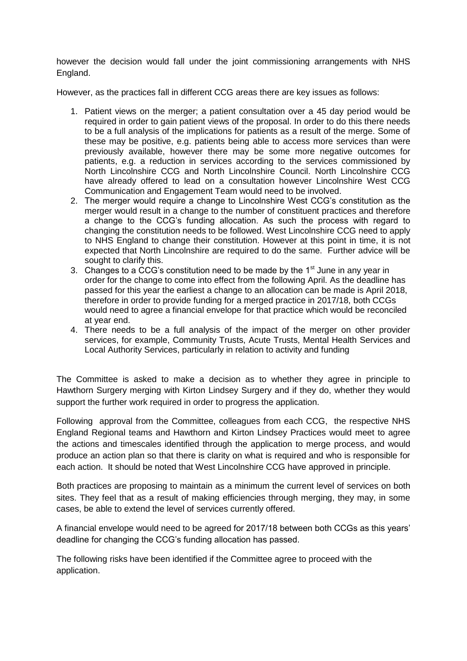however the decision would fall under the joint commissioning arrangements with NHS England.

However, as the practices fall in different CCG areas there are key issues as follows:

- 1. Patient views on the merger; a patient consultation over a 45 day period would be required in order to gain patient views of the proposal. In order to do this there needs to be a full analysis of the implications for patients as a result of the merge. Some of these may be positive, e.g. patients being able to access more services than were previously available, however there may be some more negative outcomes for patients, e.g. a reduction in services according to the services commissioned by North Lincolnshire CCG and North Lincolnshire Council. North Lincolnshire CCG have already offered to lead on a consultation however Lincolnshire West CCG Communication and Engagement Team would need to be involved.
- 2. The merger would require a change to Lincolnshire West CCG's constitution as the merger would result in a change to the number of constituent practices and therefore a change to the CCG's funding allocation. As such the process with regard to changing the constitution needs to be followed. West Lincolnshire CCG need to apply to NHS England to change their constitution. However at this point in time, it is not expected that North Lincolnshire are required to do the same. Further advice will be sought to clarify this.
- 3. Changes to a CCG's constitution need to be made by the  $1<sup>st</sup>$  June in any year in order for the change to come into effect from the following April. As the deadline has passed for this year the earliest a change to an allocation can be made is April 2018, therefore in order to provide funding for a merged practice in 2017/18, both CCGs would need to agree a financial envelope for that practice which would be reconciled at year end.
- 4. There needs to be a full analysis of the impact of the merger on other provider services, for example, Community Trusts, Acute Trusts, Mental Health Services and Local Authority Services, particularly in relation to activity and funding

The Committee is asked to make a decision as to whether they agree in principle to Hawthorn Surgery merging with Kirton Lindsey Surgery and if they do, whether they would support the further work required in order to progress the application.

Following approval from the Committee, colleagues from each CCG, the respective NHS England Regional teams and Hawthorn and Kirton Lindsey Practices would meet to agree the actions and timescales identified through the application to merge process, and would produce an action plan so that there is clarity on what is required and who is responsible for each action. It should be noted that West Lincolnshire CCG have approved in principle.

Both practices are proposing to maintain as a minimum the current level of services on both sites. They feel that as a result of making efficiencies through merging, they may, in some cases, be able to extend the level of services currently offered.

A financial envelope would need to be agreed for 2017/18 between both CCGs as this years' deadline for changing the CCG's funding allocation has passed.

The following risks have been identified if the Committee agree to proceed with the application.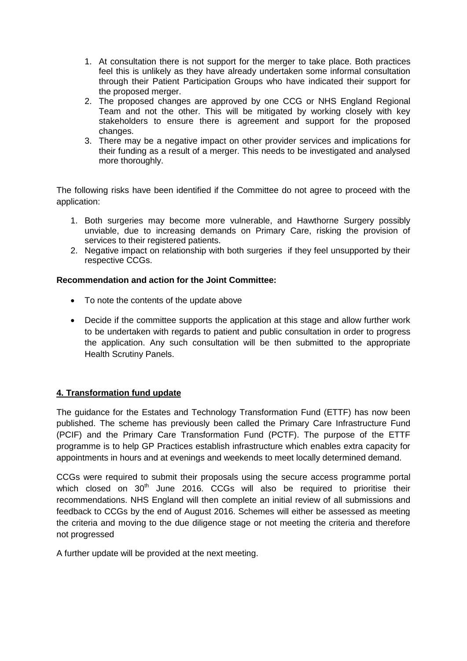- 1. At consultation there is not support for the merger to take place. Both practices feel this is unlikely as they have already undertaken some informal consultation through their Patient Participation Groups who have indicated their support for the proposed merger.
- 2. The proposed changes are approved by one CCG or NHS England Regional Team and not the other. This will be mitigated by working closely with key stakeholders to ensure there is agreement and support for the proposed changes.
- 3. There may be a negative impact on other provider services and implications for their funding as a result of a merger. This needs to be investigated and analysed more thoroughly.

The following risks have been identified if the Committee do not agree to proceed with the application:

- 1. Both surgeries may become more vulnerable, and Hawthorne Surgery possibly unviable, due to increasing demands on Primary Care, risking the provision of services to their registered patients.
- 2. Negative impact on relationship with both surgeries if they feel unsupported by their respective CCGs.

# **Recommendation and action for the Joint Committee:**

- To note the contents of the update above
- Decide if the committee supports the application at this stage and allow further work to be undertaken with regards to patient and public consultation in order to progress the application. Any such consultation will be then submitted to the appropriate Health Scrutiny Panels.

# **4. Transformation fund update**

The guidance for the Estates and Technology Transformation Fund (ETTF) has now been published. The scheme has previously been called the Primary Care Infrastructure Fund (PCIF) and the Primary Care Transformation Fund (PCTF). The purpose of the ETTF programme is to help GP Practices establish infrastructure which enables extra capacity for appointments in hours and at evenings and weekends to meet locally determined demand.

CCGs were required to submit their proposals using the secure access programme portal which closed on  $30<sup>th</sup>$  June 2016. CCGs will also be required to prioritise their recommendations. NHS England will then complete an initial review of all submissions and feedback to CCGs by the end of August 2016. Schemes will either be assessed as meeting the criteria and moving to the due diligence stage or not meeting the criteria and therefore not progressed

A further update will be provided at the next meeting.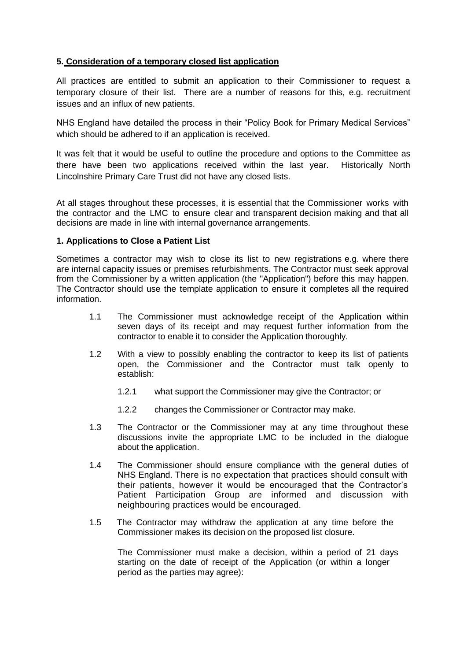## **5. Consideration of a temporary closed list application**

All practices are entitled to submit an application to their Commissioner to request a temporary closure of their list. There are a number of reasons for this, e.g. recruitment issues and an influx of new patients.

NHS England have detailed the process in their "Policy Book for Primary Medical Services" which should be adhered to if an application is received.

It was felt that it would be useful to outline the procedure and options to the Committee as there have been two applications received within the last year. Historically North Lincolnshire Primary Care Trust did not have any closed lists.

At all stages throughout these processes, it is essential that the Commissioner works with the contractor and the LMC to ensure clear and transparent decision making and that all decisions are made in line with internal governance arrangements.

## **1. Applications to Close a Patient List**

Sometimes a contractor may wish to close its list to new registrations e.g. where there are internal capacity issues or premises refurbishments. The Contractor must seek approval from the Commissioner by a written application (the "Application") before this may happen. The Contractor should use the template application to ensure it completes all the required information.

- 1.1 The Commissioner must acknowledge receipt of the Application within seven days of its receipt and may request further information from the contractor to enable it to consider the Application thoroughly.
- 1.2 With a view to possibly enabling the contractor to keep its list of patients open, the Commissioner and the Contractor must talk openly to establish:
	- 1.2.1 what support the Commissioner may give the Contractor; or
	- 1.2.2 changes the Commissioner or Contractor may make.
- 1.3 The Contractor or the Commissioner may at any time throughout these discussions invite the appropriate LMC to be included in the dialogue about the application.
- 1.4 The Commissioner should ensure compliance with the general duties of NHS England. There is no expectation that practices should consult with their patients, however it would be encouraged that the Contractor's Patient Participation Group are informed and discussion with neighbouring practices would be encouraged.
- 1.5 The Contractor may withdraw the application at any time before the Commissioner makes its decision on the proposed list closure.

The Commissioner must make a decision, within a period of 21 days starting on the date of receipt of the Application (or within a longer period as the parties may agree):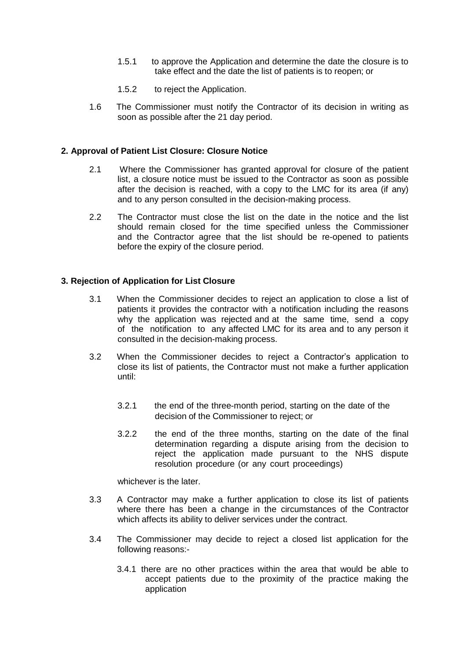- 1.5.1 to approve the Application and determine the date the closure is to take effect and the date the list of patients is to reopen; or
- 1.5.2 to reject the Application.
- 1.6 The Commissioner must notify the Contractor of its decision in writing as soon as possible after the 21 day period.

#### **2. Approval of Patient List Closure: Closure Notice**

- 2.1 Where the Commissioner has granted approval for closure of the patient list, a closure notice must be issued to the Contractor as soon as possible after the decision is reached, with a copy to the LMC for its area (if any) and to any person consulted in the decision-making process.
- 2.2 The Contractor must close the list on the date in the notice and the list should remain closed for the time specified unless the Commissioner and the Contractor agree that the list should be re-opened to patients before the expiry of the closure period.

#### **3. Rejection of Application for List Closure**

- 3.1 When the Commissioner decides to reject an application to close a list of patients it provides the contractor with a notification including the reasons why the application was rejected and at the same time, send a copy of the notification to any affected LMC for its area and to any person it consulted in the decision-making process.
- 3.2 When the Commissioner decides to reject a Contractor's application to close its list of patients, the Contractor must not make a further application until:
	- 3.2.1 the end of the three-month period, starting on the date of the decision of the Commissioner to reject; or
	- 3.2.2 the end of the three months, starting on the date of the final determination regarding a dispute arising from the decision to reject the application made pursuant to the NHS dispute resolution procedure (or any court proceedings)

whichever is the later.

- 3.3 A Contractor may make a further application to close its list of patients where there has been a change in the circumstances of the Contractor which affects its ability to deliver services under the contract.
- 3.4 The Commissioner may decide to reject a closed list application for the following reasons:-
	- 3.4.1 there are no other practices within the area that would be able to accept patients due to the proximity of the practice making the application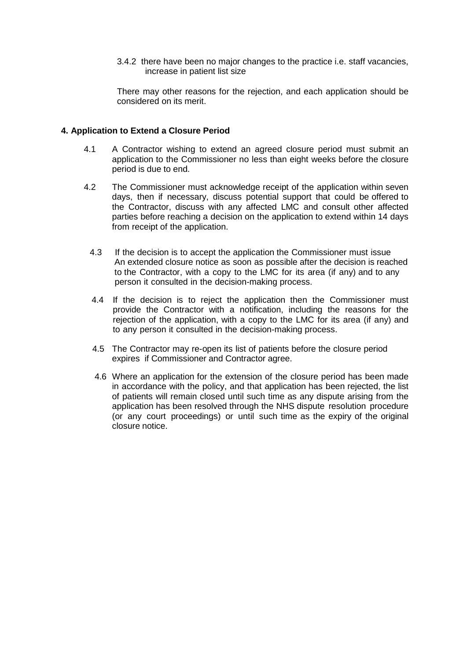3.4.2 there have been no major changes to the practice i.e. staff vacancies, increase in patient list size

There may other reasons for the rejection, and each application should be considered on its merit.

#### **4. Application to Extend a Closure Period**

- 4.1 A Contractor wishing to extend an agreed closure period must submit an application to the Commissioner no less than eight weeks before the closure period is due to end.
- 4.2 The Commissioner must acknowledge receipt of the application within seven days, then if necessary, discuss potential support that could be offered to the Contractor, discuss with any affected LMC and consult other affected parties before reaching a decision on the application to extend within 14 days from receipt of the application.
	- 4.3 If the decision is to accept the application the Commissioner must issue An extended closure notice as soon as possible after the decision is reached to the Contractor, with a copy to the LMC for its area (if any) and to any person it consulted in the decision-making process.
	- 4.4 If the decision is to reject the application then the Commissioner must provide the Contractor with a notification, including the reasons for the rejection of the application, with a copy to the LMC for its area (if any) and to any person it consulted in the decision-making process.
	- 4.5 The Contractor may re-open its list of patients before the closure period expires if Commissioner and Contractor agree.
	- 4.6 Where an application for the extension of the closure period has been made in accordance with the policy, and that application has been rejected, the list of patients will remain closed until such time as any dispute arising from the application has been resolved through the NHS dispute resolution procedure (or any court proceedings) or until such time as the expiry of the original closure notice.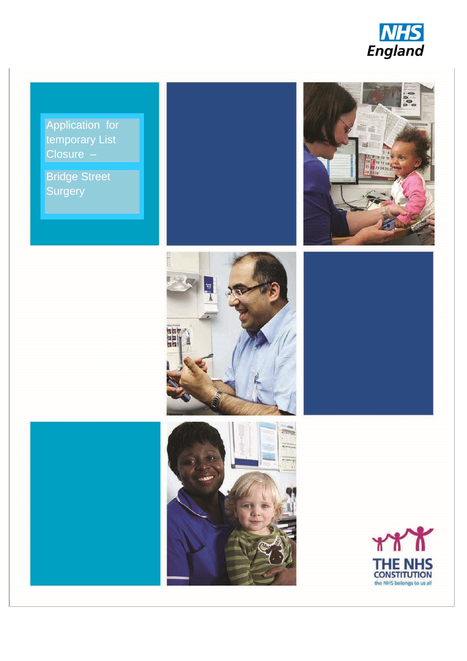

temporary List Closure – Application for

Bridge Street Surgery Surgery









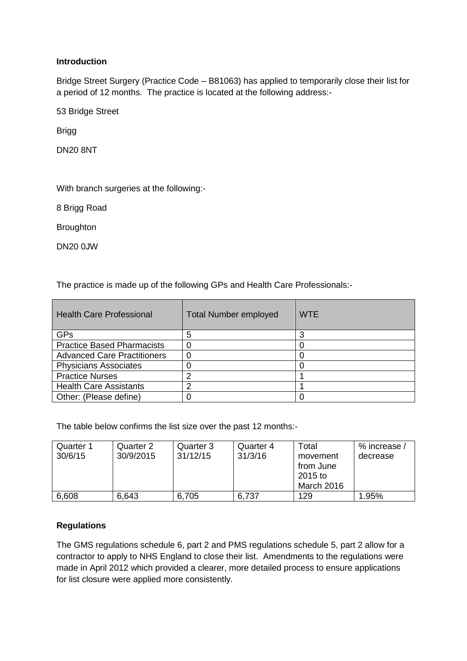# **Introduction**

Bridge Street Surgery (Practice Code – B81063) has applied to temporarily close their list for a period of 12 months. The practice is located at the following address:-

53 Bridge Street

Brigg

DN20 8NT

With branch surgeries at the following:-

8 Brigg Road

**Broughton** 

DN20 0JW

The practice is made up of the following GPs and Health Care Professionals:-

| <b>Health Care Professional</b>    | <b>Total Number employed</b> | <b>WTE</b> |
|------------------------------------|------------------------------|------------|
| <b>GPs</b>                         | 5                            |            |
| <b>Practice Based Pharmacists</b>  |                              |            |
| <b>Advanced Care Practitioners</b> |                              |            |
| <b>Physicians Associates</b>       |                              |            |
| <b>Practice Nurses</b>             | ⌒                            |            |
| <b>Health Care Assistants</b>      | ⌒                            |            |
| Other: (Please define)             |                              |            |

The table below confirms the list size over the past 12 months:-

| Quarter 1<br>30/6/15 | Quarter 2<br>30/9/2015 | Quarter 3<br>31/12/15 | Quarter 4<br>31/3/16 | Total<br>movement<br>from June<br>2015 to<br>March 2016 | % increase /<br>decrease |
|----------------------|------------------------|-----------------------|----------------------|---------------------------------------------------------|--------------------------|
| 6,608                | 6,643                  | 6,705                 | 6,737                | 129                                                     | 1.95%                    |

## **Regulations**

The GMS regulations schedule 6, part 2 and PMS regulations schedule 5, part 2 allow for a contractor to apply to NHS England to close their list. Amendments to the regulations were made in April 2012 which provided a clearer, more detailed process to ensure applications for list closure were applied more consistently.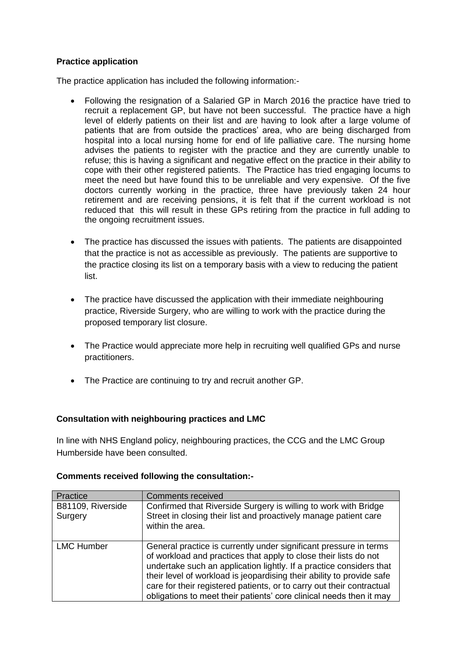## **Practice application**

The practice application has included the following information:-

- Following the resignation of a Salaried GP in March 2016 the practice have tried to recruit a replacement GP, but have not been successful. The practice have a high level of elderly patients on their list and are having to look after a large volume of patients that are from outside the practices' area, who are being discharged from hospital into a local nursing home for end of life palliative care. The nursing home advises the patients to register with the practice and they are currently unable to refuse; this is having a significant and negative effect on the practice in their ability to cope with their other registered patients. The Practice has tried engaging locums to meet the need but have found this to be unreliable and very expensive. Of the five doctors currently working in the practice, three have previously taken 24 hour retirement and are receiving pensions, it is felt that if the current workload is not reduced that this will result in these GPs retiring from the practice in full adding to the ongoing recruitment issues.
- The practice has discussed the issues with patients. The patients are disappointed that the practice is not as accessible as previously. The patients are supportive to the practice closing its list on a temporary basis with a view to reducing the patient list.
- The practice have discussed the application with their immediate neighbouring practice, Riverside Surgery, who are willing to work with the practice during the proposed temporary list closure.
- The Practice would appreciate more help in recruiting well qualified GPs and nurse practitioners.
- The Practice are continuing to try and recruit another GP.

## **Consultation with neighbouring practices and LMC**

In line with NHS England policy, neighbouring practices, the CCG and the LMC Group Humberside have been consulted.

## **Comments received following the consultation:-**

| Practice                     | <b>Comments received</b>                                                                                                                                                                                                                                                                                                                                                                                                              |
|------------------------------|---------------------------------------------------------------------------------------------------------------------------------------------------------------------------------------------------------------------------------------------------------------------------------------------------------------------------------------------------------------------------------------------------------------------------------------|
| B81109, Riverside<br>Surgery | Confirmed that Riverside Surgery is willing to work with Bridge<br>Street in closing their list and proactively manage patient care<br>within the area.                                                                                                                                                                                                                                                                               |
| <b>LMC Humber</b>            | General practice is currently under significant pressure in terms<br>of workload and practices that apply to close their lists do not<br>undertake such an application lightly. If a practice considers that<br>their level of workload is jeopardising their ability to provide safe<br>care for their registered patients, or to carry out their contractual<br>obligations to meet their patients' core clinical needs then it may |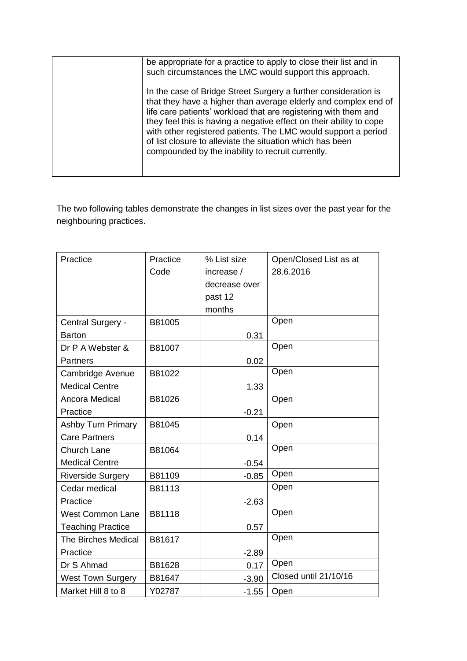| be appropriate for a practice to apply to close their list and in<br>such circumstances the LMC would support this approach.                                                                                                                                                                                                                                                                                                                                     |
|------------------------------------------------------------------------------------------------------------------------------------------------------------------------------------------------------------------------------------------------------------------------------------------------------------------------------------------------------------------------------------------------------------------------------------------------------------------|
| In the case of Bridge Street Surgery a further consideration is<br>that they have a higher than average elderly and complex end of<br>life care patients' workload that are registering with them and<br>they feel this is having a negative effect on their ability to cope<br>with other registered patients. The LMC would support a period<br>of list closure to alleviate the situation which has been<br>compounded by the inability to recruit currently. |
|                                                                                                                                                                                                                                                                                                                                                                                                                                                                  |

The two following tables demonstrate the changes in list sizes over the past year for the neighbouring practices.

| Practice                   | Practice | % List size   | Open/Closed List as at |
|----------------------------|----------|---------------|------------------------|
|                            | Code     | increase /    | 28.6.2016              |
|                            |          | decrease over |                        |
|                            |          | past 12       |                        |
|                            |          | months        |                        |
| Central Surgery -          | B81005   |               | Open                   |
| <b>Barton</b>              |          | 0.31          |                        |
| Dr P A Webster &           | B81007   |               | Open                   |
| <b>Partners</b>            |          | 0.02          |                        |
| Cambridge Avenue           | B81022   |               | Open                   |
| <b>Medical Centre</b>      |          | 1.33          |                        |
| <b>Ancora Medical</b>      | B81026   |               | Open                   |
| Practice                   |          | $-0.21$       |                        |
| <b>Ashby Turn Primary</b>  | B81045   |               | Open                   |
| <b>Care Partners</b>       |          | 0.14          |                        |
| <b>Church Lane</b>         | B81064   |               | Open                   |
| <b>Medical Centre</b>      |          | $-0.54$       |                        |
| <b>Riverside Surgery</b>   | B81109   | $-0.85$       | Open                   |
| Cedar medical              | B81113   |               | Open                   |
| Practice                   |          | $-2.63$       |                        |
| <b>West Common Lane</b>    | B81118   |               | Open                   |
| <b>Teaching Practice</b>   |          | 0.57          |                        |
| <b>The Birches Medical</b> | B81617   |               | Open                   |
| Practice                   |          | $-2.89$       |                        |
| Dr S Ahmad                 | B81628   | 0.17          | Open                   |
| <b>West Town Surgery</b>   | B81647   | $-3.90$       | Closed until 21/10/16  |
| Market Hill 8 to 8         | Y02787   | $-1.55$       | Open                   |
|                            |          |               |                        |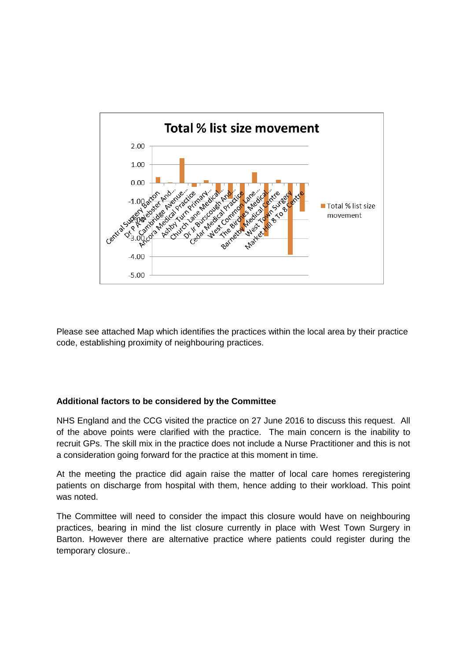

Please see attached Map which identifies the practices within the local area by their practice code, establishing proximity of neighbouring practices.

## **Additional factors to be considered by the Committee**

NHS England and the CCG visited the practice on 27 June 2016 to discuss this request. All of the above points were clarified with the practice. The main concern is the inability to recruit GPs. The skill mix in the practice does not include a Nurse Practitioner and this is not a consideration going forward for the practice at this moment in time.

At the meeting the practice did again raise the matter of local care homes reregistering patients on discharge from hospital with them, hence adding to their workload. This point was noted.

The Committee will need to consider the impact this closure would have on neighbouring practices, bearing in mind the list closure currently in place with West Town Surgery in Barton. However there are alternative practice where patients could register during the temporary closure..